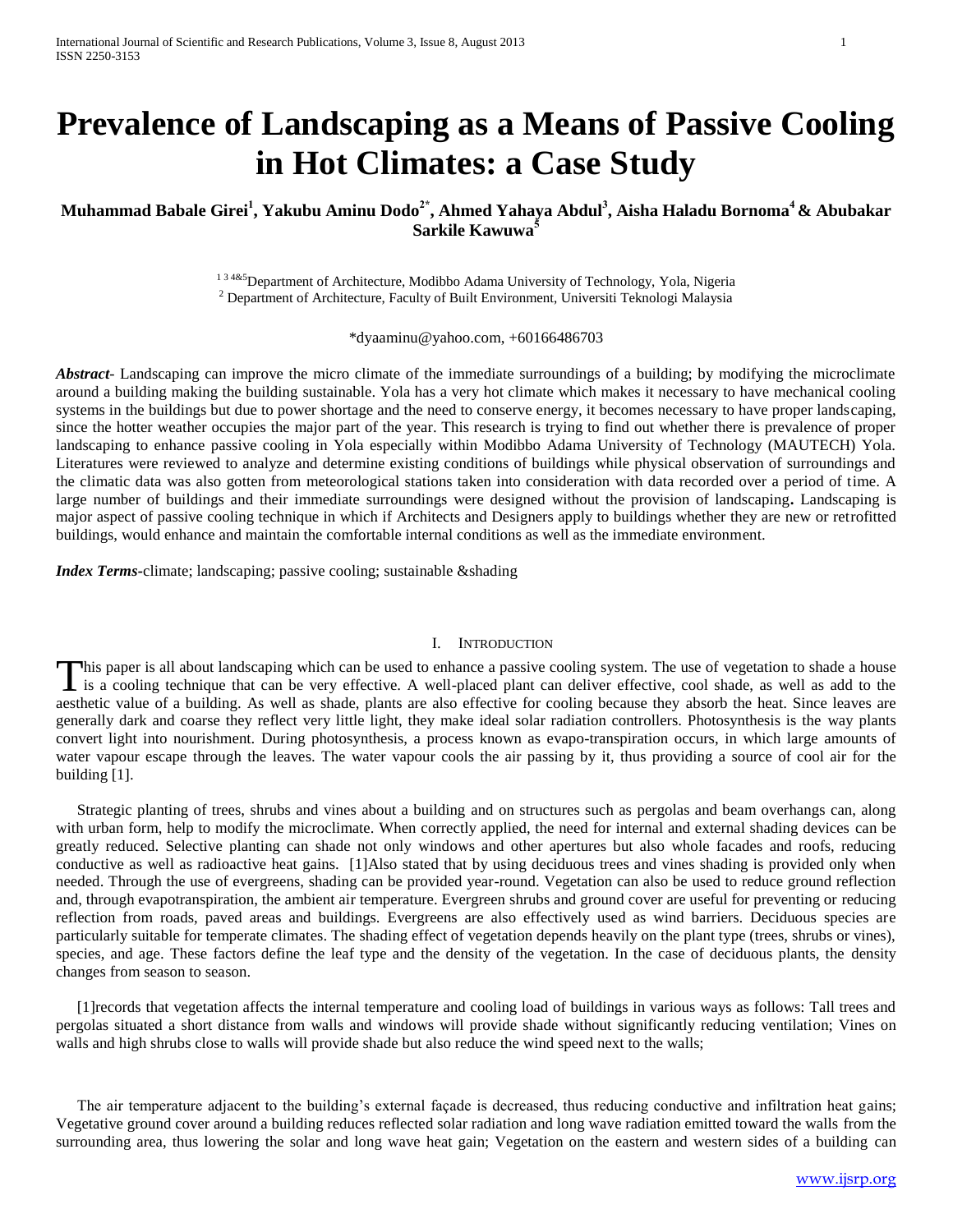# **Prevalence of Landscaping as a Means of Passive Cooling in Hot Climates: a Case Study**

# **Muhammad Babale Girei<sup>1</sup> , Yakubu Aminu Dodo2\* , Ahmed Yahaya Abdul<sup>3</sup> , Aisha Haladu Bornoma<sup>4</sup> & Abubakar Sarkile Kawuwa<sup>5</sup>**

<sup>134&5</sup>Department of Architecture, Modibbo Adama University of Technology, Yola, Nigeria <sup>2</sup> Department of Architecture, Faculty of Built Environment, Universiti Teknologi Malaysia

\*dyaaminu@yahoo.com, +60166486703

*Abstract*- Landscaping can improve the micro climate of the immediate surroundings of a building; by modifying the microclimate around a building making the building sustainable. Yola has a very hot climate which makes it necessary to have mechanical cooling systems in the buildings but due to power shortage and the need to conserve energy, it becomes necessary to have proper landscaping, since the hotter weather occupies the major part of the year. This research is trying to find out whether there is prevalence of proper landscaping to enhance passive cooling in Yola especially within Modibbo Adama University of Technology (MAUTECH) Yola. Literatures were reviewed to analyze and determine existing conditions of buildings while physical observation of surroundings and the climatic data was also gotten from meteorological stations taken into consideration with data recorded over a period of time. A large number of buildings and their immediate surroundings were designed without the provision of landscaping**.** Landscaping is major aspect of passive cooling technique in which if Architects and Designers apply to buildings whether they are new or retrofitted buildings, would enhance and maintain the comfortable internal conditions as well as the immediate environment.

*Index Terms-*climate; landscaping; passive cooling; sustainable &shading

## I. INTRODUCTION

This paper is all about landscaping which can be used to enhance a passive cooling system. The use of vegetation to shade a house This paper is all about landscaping which can be used to enhance a passive cooling system. The use of vegetation to shade a house is a cooling technique that can be very effective. A well-placed plant can deliver effective aesthetic value of a building. As well as shade, plants are also effective for cooling because they absorb the heat. Since leaves are generally dark and coarse they reflect very little light, they make ideal solar radiation controllers. Photosynthesis is the way plants convert light into nourishment. During photosynthesis, a process known as evapo-transpiration occurs, in which large amounts of water vapour escape through the leaves. The water vapour cools the air passing by it, thus providing a source of cool air for the building [1].

Strategic planting of trees, shrubs and vines about a building and on structures such as pergolas and beam overhangs can, along with urban form, help to modify the microclimate. When correctly applied, the need for internal and external shading devices can be greatly reduced. Selective planting can shade not only windows and other apertures but also whole facades and roofs, reducing conductive as well as radioactive heat gains. [1]Also stated that by using deciduous trees and vines shading is provided only when needed. Through the use of evergreens, shading can be provided year-round. Vegetation can also be used to reduce ground reflection and, through evapotranspiration, the ambient air temperature. Evergreen shrubs and ground cover are useful for preventing or reducing reflection from roads, paved areas and buildings. Evergreens are also effectively used as wind barriers. Deciduous species are particularly suitable for temperate climates. The shading effect of vegetation depends heavily on the plant type (trees, shrubs or vines), species, and age. These factors define the leaf type and the density of the vegetation. In the case of deciduous plants, the density changes from season to season.

[1]records that vegetation affects the internal temperature and cooling load of buildings in various ways as follows: Tall trees and pergolas situated a short distance from walls and windows will provide shade without significantly reducing ventilation; Vines on walls and high shrubs close to walls will provide shade but also reduce the wind speed next to the walls;

The air temperature adjacent to the building's external façade is decreased, thus reducing conductive and infiltration heat gains; Vegetative ground cover around a building reduces reflected solar radiation and long wave radiation emitted toward the walls from the surrounding area, thus lowering the solar and long wave heat gain; Vegetation on the eastern and western sides of a building can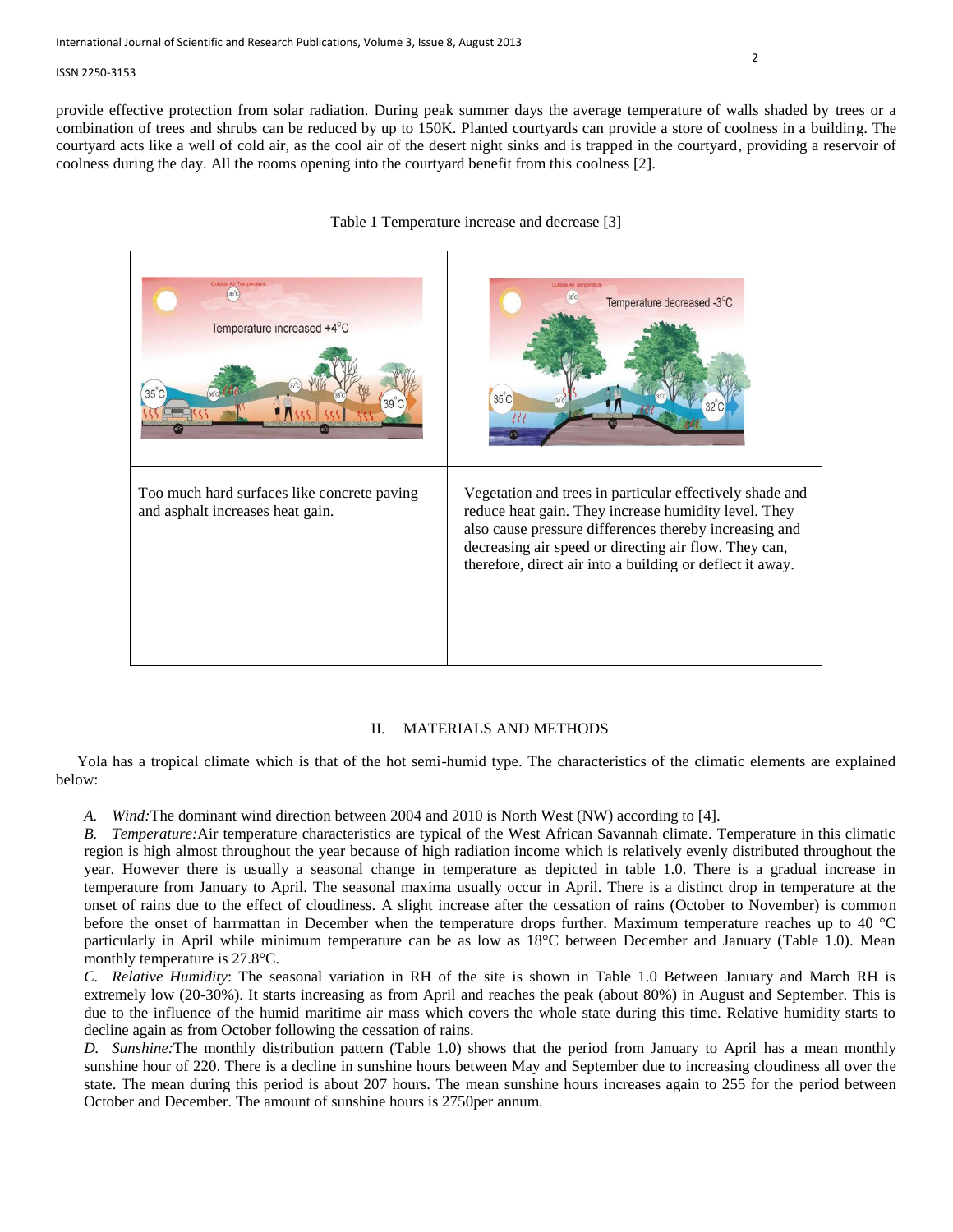provide effective protection from solar radiation. During peak summer days the average temperature of walls shaded by trees or a combination of trees and shrubs can be reduced by up to 150K. Planted courtyards can provide a store of coolness in a building. The courtyard acts like a well of cold air, as the cool air of the desert night sinks and is trapped in the courtyard, providing a reservoir of coolness during the day. All the rooms opening into the courtyard benefit from this coolness [2].



## Table 1 Temperature increase and decrease [3]

## II. MATERIALS AND METHODS

Yola has a tropical climate which is that of the hot semi-humid type. The characteristics of the climatic elements are explained below:

*A. Wind:*The dominant wind direction between 2004 and 2010 is North West (NW) according to [4].

*B. Temperature:*Air temperature characteristics are typical of the West African Savannah climate. Temperature in this climatic region is high almost throughout the year because of high radiation income which is relatively evenly distributed throughout the year. However there is usually a seasonal change in temperature as depicted in table 1.0. There is a gradual increase in temperature from January to April. The seasonal maxima usually occur in April. There is a distinct drop in temperature at the onset of rains due to the effect of cloudiness. A slight increase after the cessation of rains (October to November) is common before the onset of harrmattan in December when the temperature drops further. Maximum temperature reaches up to 40 °C particularly in April while minimum temperature can be as low as 18°C between December and January (Table 1.0). Mean monthly temperature is 27.8°C.

*C. Relative Humidity*: The seasonal variation in RH of the site is shown in Table 1.0 Between January and March RH is extremely low (20-30%). It starts increasing as from April and reaches the peak (about 80%) in August and September. This is due to the influence of the humid maritime air mass which covers the whole state during this time. Relative humidity starts to decline again as from October following the cessation of rains.

*D. Sunshine:*The monthly distribution pattern (Table 1.0) shows that the period from January to April has a mean monthly sunshine hour of 220. There is a decline in sunshine hours between May and September due to increasing cloudiness all over the state. The mean during this period is about 207 hours. The mean sunshine hours increases again to 255 for the period between October and December. The amount of sunshine hours is 2750per annum.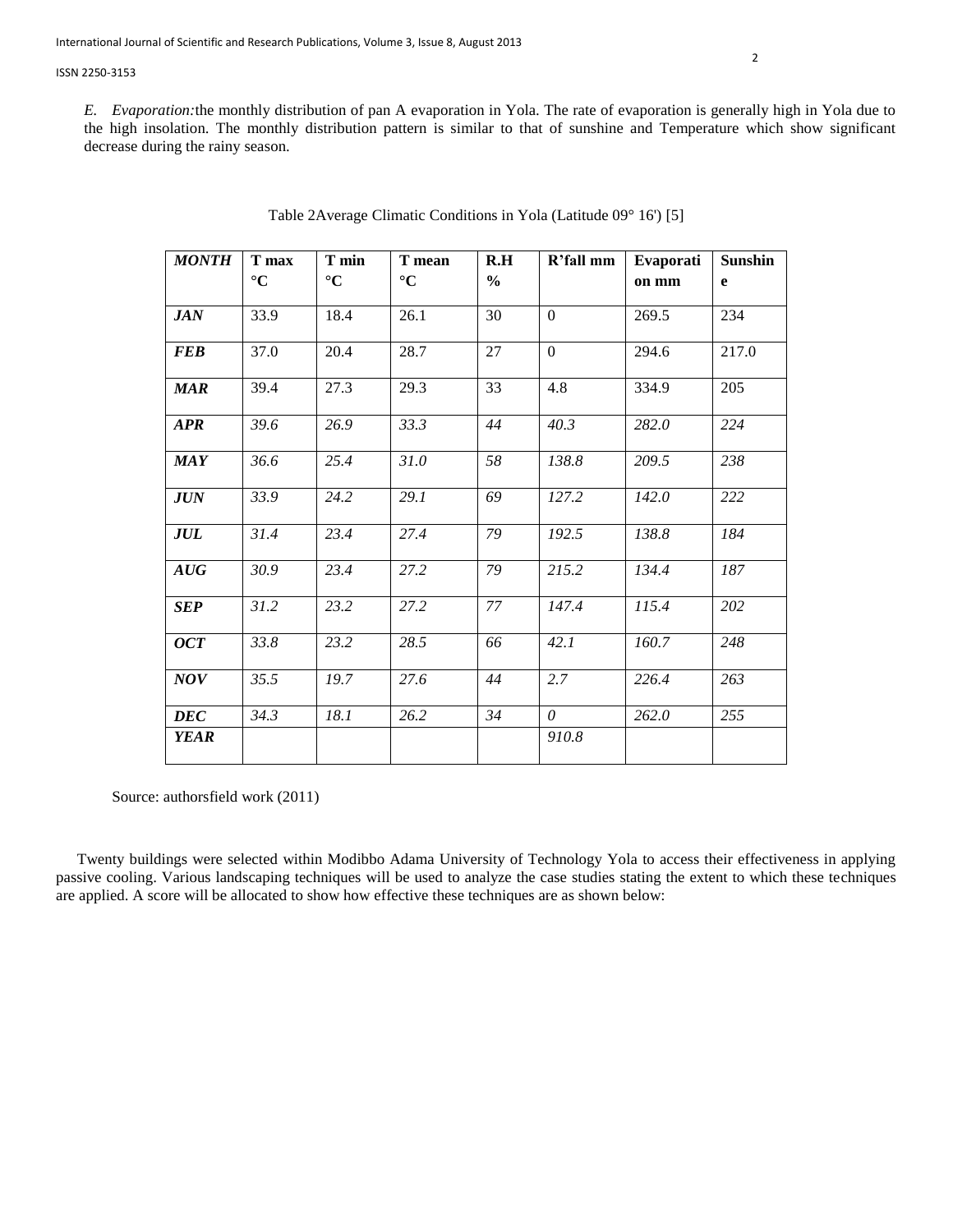*E. Evaporation:*the monthly distribution of pan A evaporation in Yola. The rate of evaporation is generally high in Yola due to the high insolation. The monthly distribution pattern is similar to that of sunshine and Temperature which show significant decrease during the rainy season.

| <b>MONTH</b> | T min<br>T max<br>$\rm ^{\circ}C$<br>$\rm ^{\circ}C$ |      | T mean | R.H           | R'fall mm      | Evaporati | <b>Sunshin</b> |  |
|--------------|------------------------------------------------------|------|--------|---------------|----------------|-----------|----------------|--|
|              | $\rm ^{\circ}C$                                      |      |        | $\frac{0}{0}$ |                | on mm     | e              |  |
| JAN          | 33.9                                                 | 18.4 | 26.1   | 30            | $\overline{0}$ | 269.5     | 234            |  |
| <b>FEB</b>   | 37.0                                                 | 20.4 | 28.7   | 27            | $\overline{0}$ | 294.6     | 217.0          |  |
| <b>MAR</b>   | 39.4                                                 | 27.3 | 29.3   | 33            | 4.8            | 334.9     | 205            |  |
| <b>APR</b>   | 39.6                                                 | 26.9 | 33.3   | 44            | 40.3           | 282.0     | 224            |  |
| <b>MAY</b>   | 36.6                                                 | 25.4 | 31.0   | 58            | 138.8          | 209.5     | 238            |  |
| JUN          | 33.9                                                 | 24.2 | 29.1   | 69            | 127.2          | 142.0     | 222            |  |
| JUL          | 31.4                                                 | 23.4 | 27.4   | 79            | 192.5          | 138.8     | 184            |  |
| AUG          | 30.9                                                 | 23.4 | 27.2   | 79            | 215.2          | 134.4     | 187            |  |
| <b>SEP</b>   | 31.2                                                 | 23.2 | 27.2   | 77            | 147.4          | 115.4     | 202            |  |
| $OCT$        | 33.8                                                 | 23.2 | 28.5   | 66            | 42.1           | 160.7     | 248            |  |
| <b>NOV</b>   | 35.5                                                 | 19.7 | 27.6   | 44            | 2.7            | 226.4     | 263            |  |
| <b>DEC</b>   | 34.3                                                 | 18.1 | 26.2   | 34            | $\theta$       | 262.0     | 255            |  |
| <b>YEAR</b>  |                                                      |      |        |               | 910.8          |           |                |  |

| Table 2Average Climatic Conditions in Yola (Latitude 09° 16') [5] |  |  |  |
|-------------------------------------------------------------------|--|--|--|
|                                                                   |  |  |  |

Source: authorsfield work (2011)

Twenty buildings were selected within Modibbo Adama University of Technology Yola to access their effectiveness in applying passive cooling. Various landscaping techniques will be used to analyze the case studies stating the extent to which these techniques are applied. A score will be allocated to show how effective these techniques are as shown below: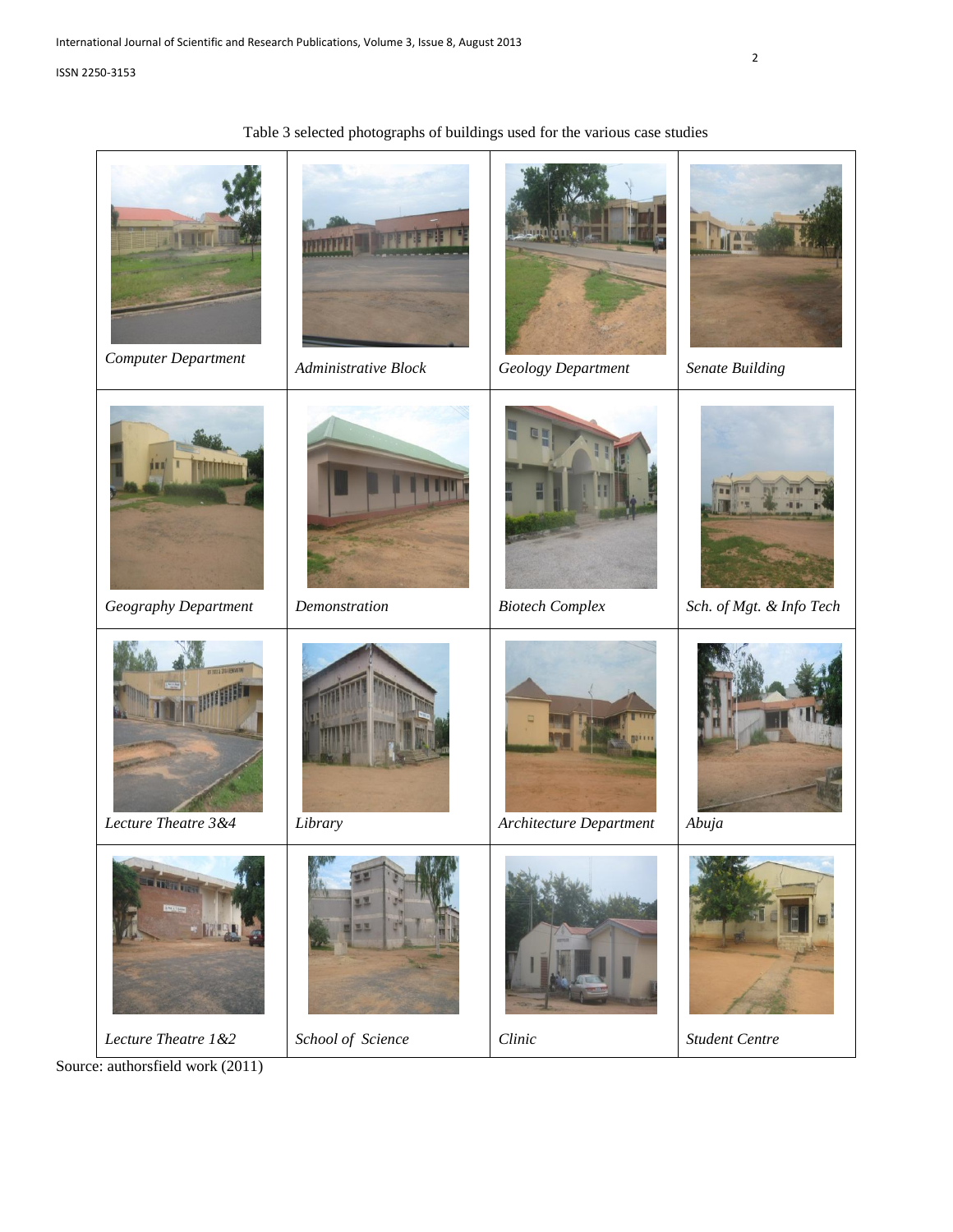# Table 3 selected photographs of buildings used for the various case studies



Source: authorsfield work (2011)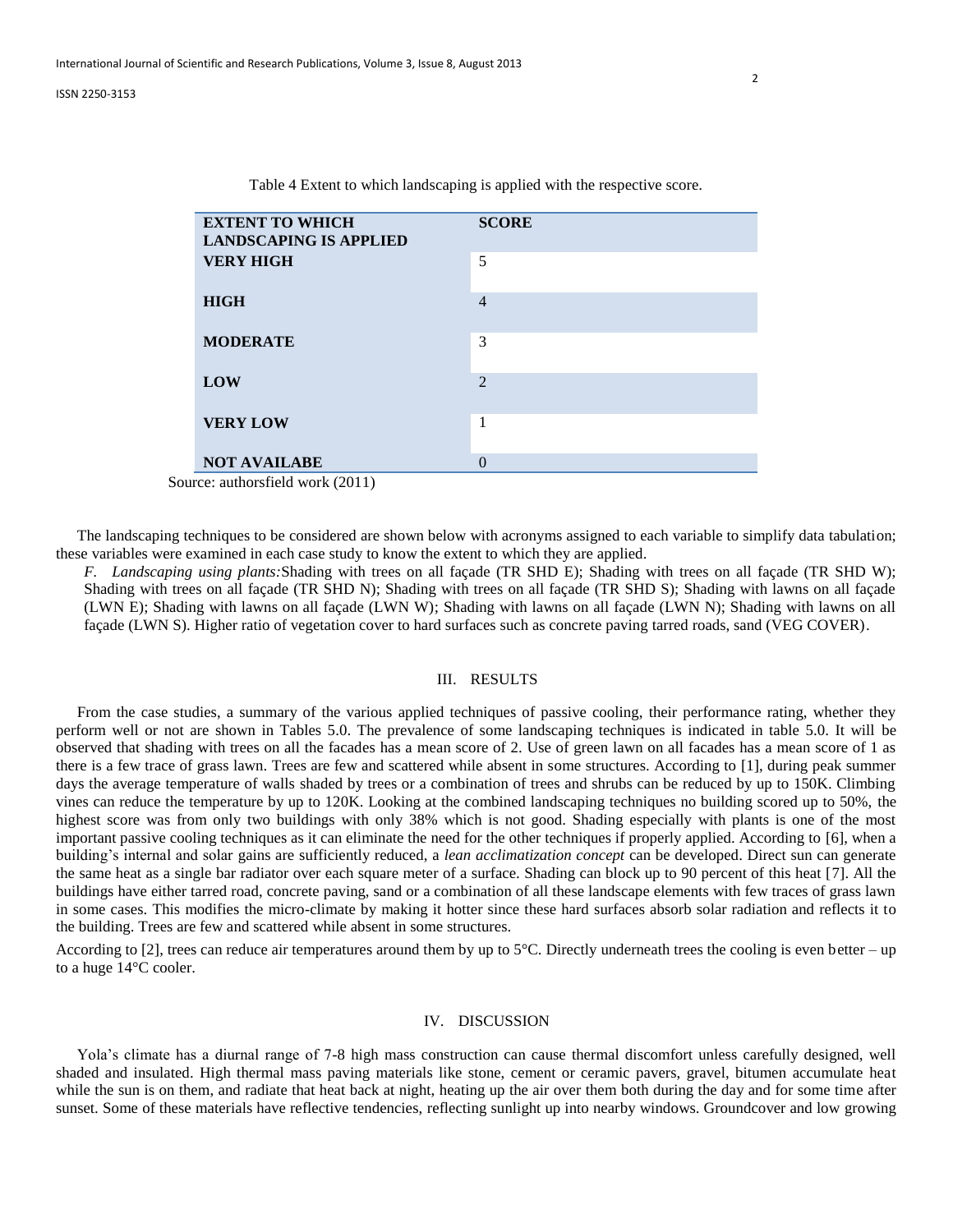| <b>EXTENT TO WHICH</b><br><b>LANDSCAPING IS APPLIED</b> | <b>SCORE</b>   |
|---------------------------------------------------------|----------------|
| <b>VERY HIGH</b>                                        | 5              |
| <b>HIGH</b>                                             | $\overline{4}$ |
| <b>MODERATE</b>                                         | 3              |
| LOW                                                     | $\mathfrak{D}$ |
| <b>VERY LOW</b>                                         | 1              |
| <b>NOT AVAILABE</b>                                     |                |

Table 4 Extent to which landscaping is applied with the respective score.

Source: authorsfield work (2011)

The landscaping techniques to be considered are shown below with acronyms assigned to each variable to simplify data tabulation; these variables were examined in each case study to know the extent to which they are applied.

*F. Landscaping using plants:*Shading with trees on all façade (TR SHD E); Shading with trees on all façade (TR SHD W); Shading with trees on all façade (TR SHD N); Shading with trees on all façade (TR SHD S); Shading with lawns on all façade (LWN E); Shading with lawns on all façade (LWN W); Shading with lawns on all façade (LWN N); Shading with lawns on all façade (LWN S). Higher ratio of vegetation cover to hard surfaces such as concrete paving tarred roads, sand (VEG COVER).

## III. RESULTS

From the case studies, a summary of the various applied techniques of passive cooling, their performance rating, whether they perform well or not are shown in Tables 5.0. The prevalence of some landscaping techniques is indicated in table 5.0. It will be observed that shading with trees on all the facades has a mean score of 2. Use of green lawn on all facades has a mean score of 1 as there is a few trace of grass lawn. Trees are few and scattered while absent in some structures. According to [1], during peak summer days the average temperature of walls shaded by trees or a combination of trees and shrubs can be reduced by up to 150K. Climbing vines can reduce the temperature by up to 120K. Looking at the combined landscaping techniques no building scored up to 50%, the highest score was from only two buildings with only 38% which is not good. Shading especially with plants is one of the most important passive cooling techniques as it can eliminate the need for the other techniques if properly applied. According to [6], when a building's internal and solar gains are sufficiently reduced, a *lean acclimatization concept* can be developed. Direct sun can generate the same heat as a single bar radiator over each square meter of a surface. Shading can block up to 90 percent of this heat [7]. All the buildings have either tarred road, concrete paving, sand or a combination of all these landscape elements with few traces of grass lawn in some cases. This modifies the micro-climate by making it hotter since these hard surfaces absorb solar radiation and reflects it to the building. Trees are few and scattered while absent in some structures.

According to [2], trees can reduce air temperatures around them by up to 5°C. Directly underneath trees the cooling is even better – up to a huge 14°C cooler.

### IV. DISCUSSION

Yola's climate has a diurnal range of 7-8 high mass construction can cause thermal discomfort unless carefully designed, well shaded and insulated. High thermal mass paving materials like stone, cement or ceramic pavers, gravel, bitumen accumulate heat while the sun is on them, and radiate that heat back at night, heating up the air over them both during the day and for some time after sunset. Some of these materials have reflective tendencies, reflecting sunlight up into nearby windows. Groundcover and low growing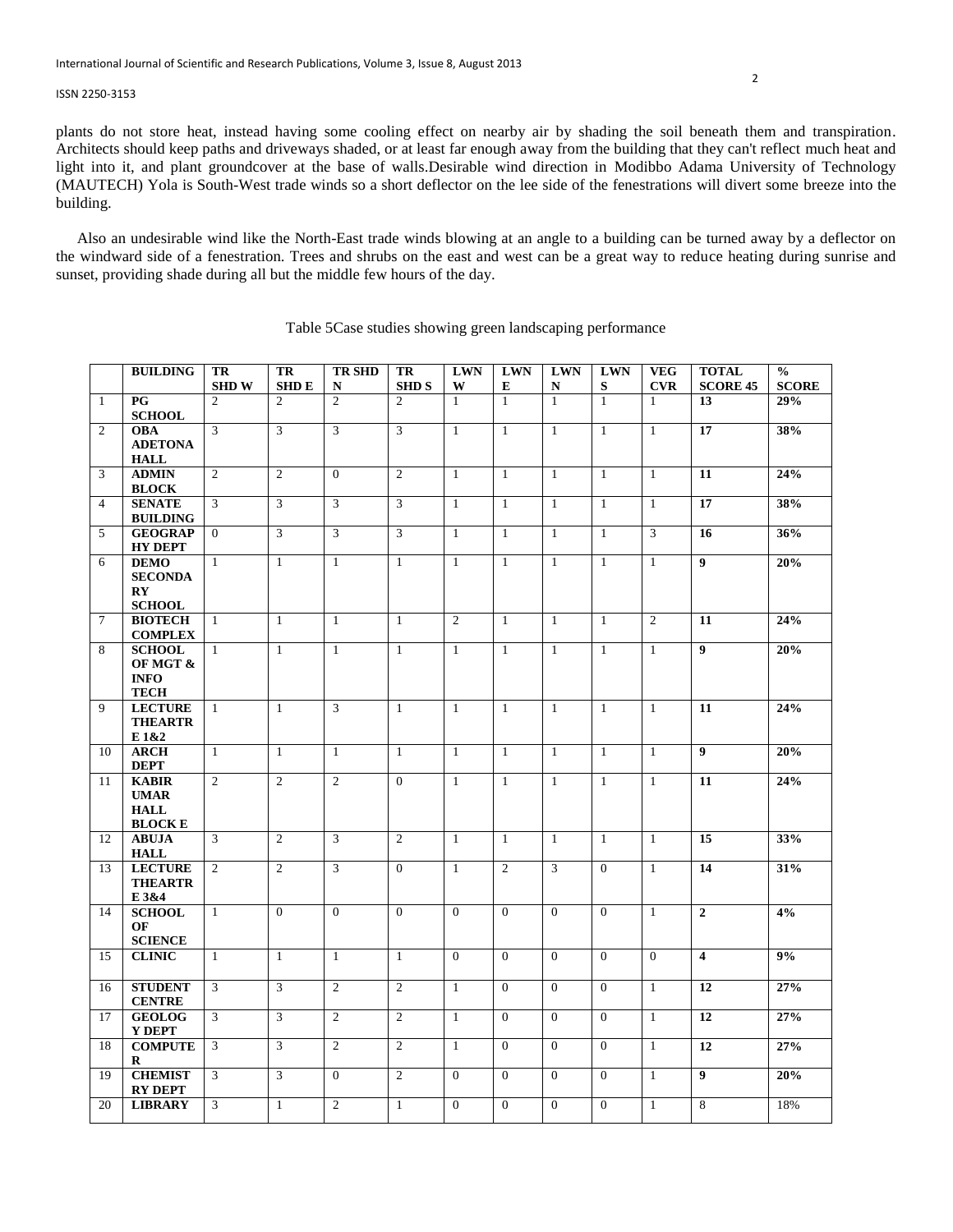plants do not store heat, instead having some cooling effect on nearby air by shading the soil beneath them and transpiration. Architects should keep paths and driveways shaded, or at least far enough away from the building that they can't reflect much heat and light into it, and plant groundcover at the base of walls.Desirable wind direction in Modibbo Adama University of Technology (MAUTECH) Yola is South-West trade winds so a short deflector on the lee side of the fenestrations will divert some breeze into the building.

Also an undesirable wind like the North-East trade winds blowing at an angle to a building can be turned away by a deflector on the windward side of a fenestration. Trees and shrubs on the east and west can be a great way to reduce heating during sunrise and sunset, providing shade during all but the middle few hours of the day.

|                | <b>BUILDING</b>                                             | TR<br><b>SHDW</b> | TR<br><b>SHDE</b> | <b>TR SHD</b><br>N | TR<br><b>SHDS</b> | <b>LWN</b><br>W | <b>LWN</b><br>E | <b>LWN</b><br>N | <b>LWN</b><br>S | <b>VEG</b><br><b>CVR</b> | <b>TOTAL</b><br><b>SCORE 45</b> | $\frac{0}{0}$<br><b>SCORE</b> |
|----------------|-------------------------------------------------------------|-------------------|-------------------|--------------------|-------------------|-----------------|-----------------|-----------------|-----------------|--------------------------|---------------------------------|-------------------------------|
| $\mathbf{1}$   | $\overline{PG}$                                             | $\overline{2}$    | $\overline{2}$    | $\overline{2}$     | $\overline{c}$    | $\mathbf{1}$    | $\mathbf{1}$    | $\overline{1}$  | $\overline{1}$  | $\mathbf{1}$             | 13                              | 29%                           |
| 2              | <b>SCHOOL</b><br><b>OBA</b>                                 | 3                 | $\overline{3}$    | 3                  | 3                 | $\mathbf{1}$    | $\mathbf{1}$    | $\mathbf{1}$    | $\mathbf{1}$    | $\mathbf{1}$             | 17                              | 38%                           |
|                | <b>ADETONA</b><br><b>HALL</b>                               |                   |                   |                    |                   |                 |                 |                 |                 |                          |                                 |                               |
| 3              | <b>ADMIN</b><br><b>BLOCK</b>                                | 2                 | 2                 | $\overline{0}$     | 2                 | $\mathbf{1}$    | $\mathbf{1}$    | $\mathbf{1}$    | $\mathbf{1}$    | $\mathbf{1}$             | 11                              | 24%                           |
| $\overline{4}$ | <b>SENATE</b><br><b>BUILDING</b>                            | 3                 | 3                 | 3                  | 3                 | $\mathbf{1}$    | $\mathbf{1}$    | $\mathbf{1}$    | $\mathbf{1}$    | $\mathbf{1}$             | 17                              | 38%                           |
| 5              | <b>GEOGRAP</b><br><b>HY DEPT</b>                            | $\theta$          | $\mathbf{3}$      | 3                  | $\mathfrak{Z}$    | $\mathbf{1}$    | $\mathbf{1}$    | $\mathbf{1}$    | $\mathbf{1}$    | 3                        | 16                              | 36%                           |
| 6              | <b>DEMO</b><br><b>SECONDA</b><br>$\mathbf{R}\mathbf{Y}$     | $\mathbf{1}$      | $\mathbf{1}$      | $\mathbf{1}$       | $\mathbf{1}$      | $\mathbf{1}$    | $\mathbf{1}$    | 1               | $\mathbf{1}$    | $\mathbf{1}$             | $\boldsymbol{9}$                | 20%                           |
| $\tau$         | <b>SCHOOL</b><br><b>BIOTECH</b>                             | $\mathbf{1}$      | $\mathbf{1}$      | $\mathbf{1}$       | $\mathbf{1}$      | $\overline{2}$  | $\mathbf{1}$    | $\mathbf{1}$    | $\mathbf{1}$    | 2                        | 11                              | 24%                           |
|                | <b>COMPLEX</b>                                              |                   |                   |                    |                   |                 |                 |                 |                 |                          |                                 |                               |
| 8              | <b>SCHOOL</b><br>OF MGT &<br><b>INFO</b><br><b>TECH</b>     | $\mathbf{1}$      | $\mathbf{1}$      | $\mathbf{1}$       | 1                 | $\mathbf{1}$    | $\mathbf{1}$    | 1               | 1               | $\mathbf{1}$             | 9                               | 20%                           |
| 9              | <b>LECTURE</b><br><b>THEARTR</b><br>E 1&2                   | $\mathbf{1}$      | $\mathbf{1}$      | 3                  | $\mathbf{1}$      | $\mathbf{1}$    | $\mathbf{1}$    | $\mathbf{1}$    | $\mathbf{1}$    | $\mathbf{1}$             | 11                              | 24%                           |
| 10             | <b>ARCH</b><br><b>DEPT</b>                                  | $\mathbf{1}$      | $\mathbf{1}$      | $\mathbf{1}$       | 1                 | $\mathbf{1}$    | $\mathbf{1}$    | $\mathbf{1}$    | $\mathbf{1}$    | $\mathbf{1}$             | $\boldsymbol{9}$                | 20%                           |
| 11             | <b>KABIR</b><br><b>UMAR</b><br><b>HALL</b><br><b>BLOCKE</b> | $\overline{2}$    | $\overline{2}$    | $\overline{2}$     | $\Omega$          | $\mathbf{1}$    | $\mathbf{1}$    | $\mathbf{1}$    | $\mathbf{1}$    | $\overline{1}$           | 11                              | 24%                           |
| 12             | <b>ABUJA</b><br><b>HALL</b>                                 | 3                 | 2                 | 3                  | 2                 | $\mathbf{1}$    | 1               | 1               | $\mathbf{1}$    | $\mathbf{1}$             | 15                              | 33%                           |
| 13             | <b>LECTURE</b><br><b>THEARTR</b><br>E 3&4                   | 2                 | $\overline{2}$    | 3                  | $\Omega$          | $\mathbf{1}$    | $\overline{2}$  | 3               | $\Omega$        | $\mathbf{1}$             | 14                              | 31%                           |
| 14             | <b>SCHOOL</b><br>OF<br><b>SCIENCE</b>                       | $\mathbf{1}$      | $\Omega$          | $\overline{0}$     | $\mathbf{0}$      | $\Omega$        | $\Omega$        | $\mathbf{0}$    | $\Omega$        | $\mathbf{1}$             | $\overline{2}$                  | 4%                            |
| 15             | <b>CLINIC</b>                                               | $\mathbf{1}$      | $\mathbf{1}$      | $\mathbf{1}$       | $\mathbf{1}$      | $\theta$        | $\Omega$        | $\theta$        | $\Omega$        | $\theta$                 | $\overline{\mathbf{4}}$         | 9%                            |
| 16             | <b>STUDENT</b><br><b>CENTRE</b>                             | 3                 | 3                 | $\mathfrak{2}$     | $\overline{2}$    | $\mathbf{1}$    | $\Omega$        | $\theta$        | $\Omega$        | $\mathbf{1}$             | 12                              | 27%                           |
| 17             | <b>GEOLOG</b><br>Y DEPT                                     | 3                 | 3                 | $\overline{2}$     | 2                 | $\mathbf{1}$    | $\Omega$        | $\theta$        | $\Omega$        | $\overline{1}$           | 12                              | 27%                           |
| 18             | <b>COMPUTE</b><br>R                                         | 3                 | 3                 | $\overline{2}$     | 2                 | $\mathbf{1}$    | $\overline{0}$  | $\Omega$        | $\mathbf{0}$    | 1                        | 12                              | 27%                           |
| 19             | <b>CHEMIST</b><br><b>RY DEPT</b>                            | 3                 | 3                 | $\Omega$           | 2                 | $\overline{0}$  | $\Omega$        | $\theta$        | $\Omega$        | $\mathbf{1}$             | $\boldsymbol{9}$                | 20%                           |
| 20             | <b>LIBRARY</b>                                              | 3                 | $\mathbf{1}$      | $\overline{c}$     | $\mathbf{1}$      | $\mathbf{0}$    | $\overline{0}$  | $\mathbf{0}$    | $\overline{0}$  | $\mathbf{1}$             | 8                               | 18%                           |

# Table 5Case studies showing green landscaping performance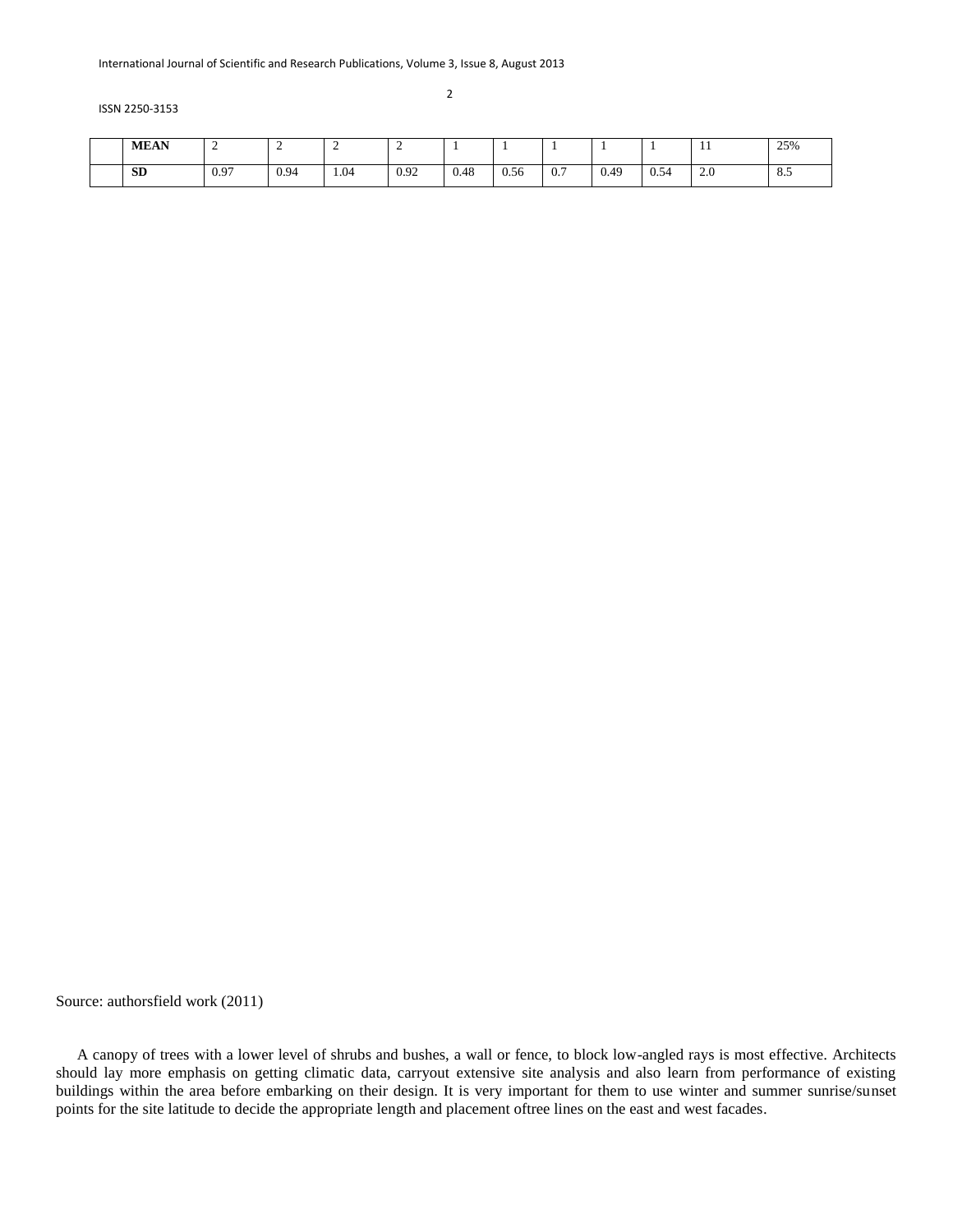| <b>MEAN</b> | <b>_</b> | ∼    | <b>_</b> |      |      |      |     |      |            | $\mathbf{r}$ | 25% |
|-------------|----------|------|----------|------|------|------|-----|------|------------|--------------|-----|
| <b>SD</b>   | 0.97     | 0.94 | 1.04     | 0.92 | 0.48 | 0.56 | 0.7 | 0.49 | 54<br>U.J. | 2.0          | 8.5 |

Source: authorsfield work (2011)

A canopy of trees with a lower level of shrubs and bushes, a wall or fence, to block low-angled rays is most effective. Architects should lay more emphasis on getting climatic data, carryout extensive site analysis and also learn from performance of existing buildings within the area before embarking on their design. It is very important for them to use winter and summer sunrise/sunset points for the site latitude to decide the appropriate length and placement oftree lines on the east and west facades.

2